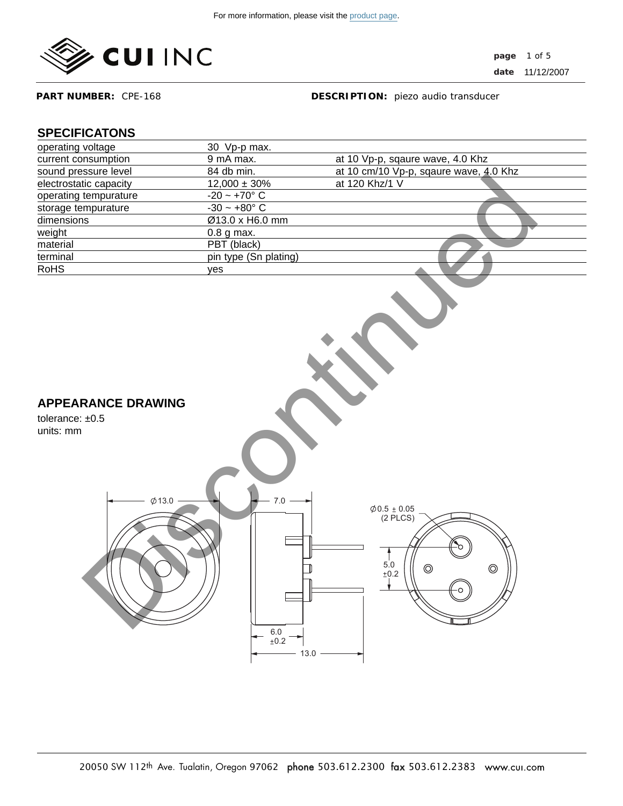

**page** 1 of 5 **date** 11/12/2007

**PART NUMBER:** CPE-168

**DESCRIPTION:** piezo audio transducer

# **SPECIFICATONS**

| operating voltage                                                             | 30 Vp-p max.                                   |                                                                                                                                                       |
|-------------------------------------------------------------------------------|------------------------------------------------|-------------------------------------------------------------------------------------------------------------------------------------------------------|
| current consumption                                                           | 9 mA max.                                      | at 10 Vp-p, sqaure wave, 4.0 Khz                                                                                                                      |
| sound pressure level                                                          | 84 db min.                                     | at 10 cm/10 Vp-p, sqaure wave, 4.0 Khz                                                                                                                |
| electrostatic capacity                                                        | $12,000 \pm 30\%$                              | at 120 Khz/1 V                                                                                                                                        |
| operating tempurature                                                         | $-20 - +70^{\circ} C$                          |                                                                                                                                                       |
| storage tempurature                                                           | $-30 - +80^{\circ} C$                          |                                                                                                                                                       |
| dimensions                                                                    | Ø13.0 x H6.0 mm                                |                                                                                                                                                       |
| weight                                                                        | 0.8 g max.                                     |                                                                                                                                                       |
| material                                                                      | PBT (black)                                    |                                                                                                                                                       |
| terminal                                                                      | pin type (Sn plating)                          |                                                                                                                                                       |
| <b>RoHS</b>                                                                   | yes                                            |                                                                                                                                                       |
| <b>APPEARANCE DRAWING</b><br>tolerance: $±0.5$<br>units: mm<br>$\varphi$ 13.0 | $7.0\,$<br>$\frac{6.0}{\pm 0.2}$ –<br>$13.0 -$ | $\begin{array}{c} \text{\large $\phi$0.5 $\pm$ 0.05}\\ \text{\large $(2$ PLCS)} \end{array}$<br>$\frac{5.0}{1.0}$<br>$\circledcirc$<br>$\circledcirc$ |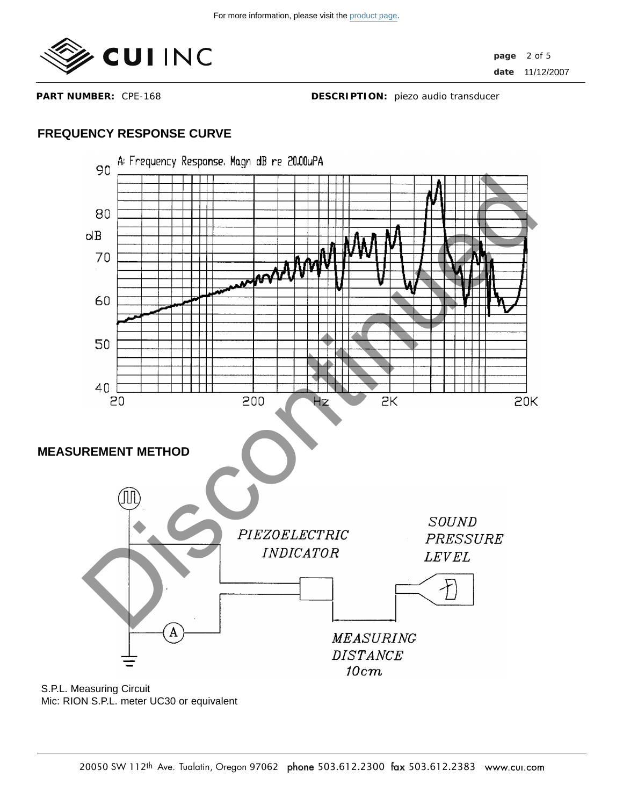

**PART NUMBER:** CPE-168

**DESCRIPTION:** piezo audio transducer

# **FREQUENCY RESPONSE CURVE**



Mic: RION S.P.L. meter UC30 or equivalent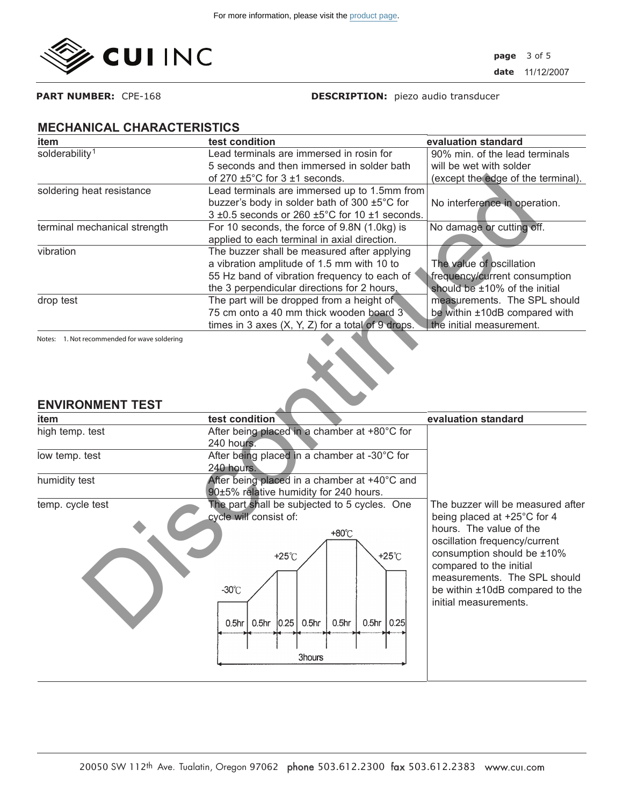

**PART NUMBER:** CPE-168

**DESCRIPTION:** piezo audio transducer

#### **MECHANICAL CHARACTERISTICS**

| item                         | test condition                                                       | evaluation standard                |
|------------------------------|----------------------------------------------------------------------|------------------------------------|
| solderability <sup>1</sup>   | Lead terminals are immersed in rosin for                             | 90% min. of the lead terminals     |
|                              | 5 seconds and then immersed in solder bath                           | will be wet with solder            |
|                              | of 270 $\pm$ 5°C for 3 $\pm$ 1 seconds.                              | (except the edge of the terminal). |
| soldering heat resistance    | Lead terminals are immersed up to 1.5mm from                         |                                    |
|                              | buzzer's body in solder bath of 300 ±5°C for                         | No interference in operation.      |
|                              | $3 \pm 0.5$ seconds or 260 $\pm 5^{\circ}$ C for 10 $\pm 1$ seconds. |                                    |
| terminal mechanical strength | For 10 seconds, the force of 9.8N (1.0kg) is                         | No damage or cutting off.          |
|                              | applied to each terminal in axial direction.                         |                                    |
| vibration                    | The buzzer shall be measured after applying                          |                                    |
|                              | a vibration amplitude of 1.5 mm with 10 to                           | The value of oscillation           |
|                              | 55 Hz band of vibration frequency to each of                         | frequency/current consumption      |
|                              | the 3 perpendicular directions for 2 hours,                          | should be ±10% of the initial      |
| drop test                    | The part will be dropped from a height of                            | measurements. The SPL should       |
|                              | 75 cm onto a 40 mm thick wooden board 3                              | be within ±10dB compared with      |
|                              | times in 3 axes $(X, Y, Z)$ for a total of 9 drops.                  | the initial measurement.           |
|                              |                                                                      |                                    |

### **ENVIRONMENT TEST**

|                                              | of 270 $\pm 5^{\circ}$ C for 3 $\pm 1$ seconds.                                                                 | (except the edge of the terminal). |
|----------------------------------------------|-----------------------------------------------------------------------------------------------------------------|------------------------------------|
| soldering heat resistance                    | Lead terminals are immersed up to 1.5mm from                                                                    |                                    |
|                                              | buzzer's body in solder bath of 300 ±5°C for                                                                    | No interference in operation.      |
|                                              | 3 ±0.5 seconds or 260 ±5°C for 10 ±1 seconds.                                                                   |                                    |
| terminal mechanical strength                 | For 10 seconds, the force of 9.8N (1.0kg) is                                                                    | No damage or cutting off.          |
|                                              | applied to each terminal in axial direction.                                                                    |                                    |
| vibration                                    | The buzzer shall be measured after applying                                                                     |                                    |
|                                              | a vibration amplitude of 1.5 mm with 10 to                                                                      | The value of oscillation           |
|                                              | 55 Hz band of vibration frequency to each of                                                                    | frequency/current consumption      |
|                                              | the 3 perpendicular directions for 2 hours,                                                                     | should be ±10% of the initial      |
| drop test                                    | The part will be dropped from a height of                                                                       | measurements. The SPL should       |
|                                              | 75 cm onto a 40 mm thick wooden board 3                                                                         | be within ±10dB compared with      |
|                                              | times in 3 axes $(X, Y, Z)$ for a total of 9 drops.                                                             | the initial measurement.           |
| Notes: 1. Not recommended for wave soldering |                                                                                                                 |                                    |
| <b>ENVIRONMENT TEST</b>                      |                                                                                                                 |                                    |
| item                                         | test condition                                                                                                  | evaluation standard                |
| high temp. test                              | After being placed in a chamber at +80°C for                                                                    |                                    |
|                                              | 240 hours.                                                                                                      |                                    |
| low temp. test                               | After being placed in a chamber at -30°C for                                                                    |                                    |
|                                              | 240 hours.                                                                                                      |                                    |
| humidity test                                | After being placed in a chamber at +40°C and<br>90±5% relative humidity for 240 hours.                          |                                    |
| temp. cycle test                             | The part shall be subjected to 5 cycles. One                                                                    | The buzzer will be measured after  |
|                                              | cycle will consist of:                                                                                          | being placed at +25°C for 4        |
|                                              |                                                                                                                 | hours. The value of the            |
|                                              | +80°C                                                                                                           | oscillation frequency/current      |
|                                              | $+25^{\circ}$ C<br>$+25^\circ$ C                                                                                | consumption should be ±10%         |
|                                              |                                                                                                                 | compared to the initial            |
|                                              |                                                                                                                 | measurements. The SPL should       |
|                                              | $-30^{\circ}$ C                                                                                                 | be within ±10dB compared to the    |
|                                              |                                                                                                                 | initial measurements.              |
|                                              |                                                                                                                 |                                    |
|                                              |                                                                                                                 |                                    |
|                                              | 0.5 <sub>hr</sub><br> 0.25 <br>0.5 <sub>hr</sub><br>0.5 <sub>hr</sub><br>$0.5$ hr $ 0.25 $<br>0.5 <sub>hr</sub> |                                    |
|                                              |                                                                                                                 |                                    |
|                                              | 3hours                                                                                                          |                                    |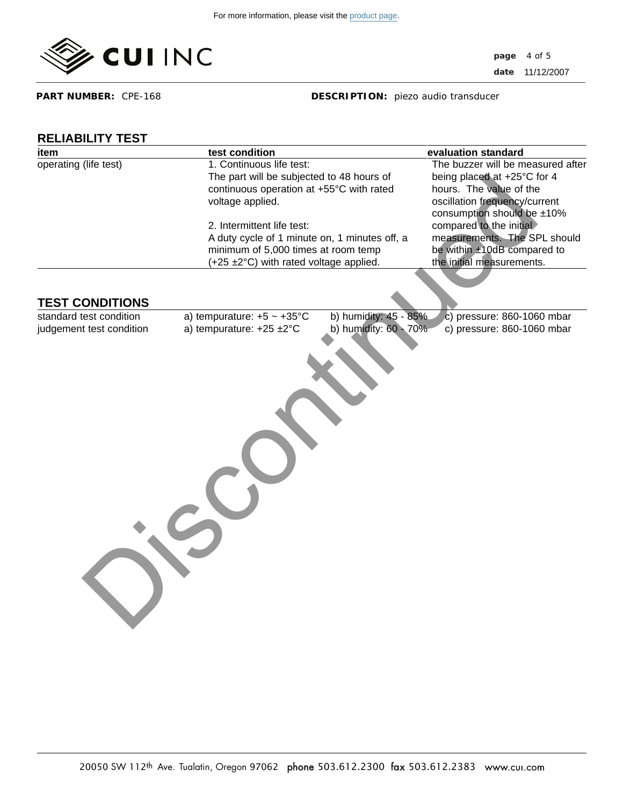

**page date** 11/12/2007 4 of 5

**PART NUMBER:** CPE-168

**DESCRIPTION:** piezo audio transducer

# **RELIABILITY TEST**

| ıtem                  |  |
|-----------------------|--|
| operating (life test) |  |

| <b>RELIABILITY TEST</b><br>item | test condition                            |                                                                                      | evaluation standard                                      |
|---------------------------------|-------------------------------------------|--------------------------------------------------------------------------------------|----------------------------------------------------------|
| operating (life test)           | 1. Continuous life test:                  |                                                                                      |                                                          |
|                                 | The part will be subjected to 48 hours of |                                                                                      | being placed at +25°C for 4                              |
|                                 | continuous operation at +55°C with rated  |                                                                                      | hours. The value of the                                  |
|                                 | voltage applied.                          |                                                                                      | oscillation frequency/current                            |
|                                 |                                           |                                                                                      | consumption should be ±10%<br>compared to the initial    |
|                                 |                                           | 2. Intermittent life test:                                                           |                                                          |
|                                 |                                           | A duty cycle of 1 minute on, 1 minutes off, a<br>minimum of 5,000 times at room temp |                                                          |
|                                 | (+25 ±2°C) with rated voltage applied.    |                                                                                      | be within ±10dB compared to<br>the initial measurements. |
|                                 |                                           |                                                                                      |                                                          |
| <b>TEST CONDITIONS</b>          |                                           |                                                                                      |                                                          |
| standard test condition         | a) tempurature: $+5 \sim +35^{\circ}$ C   | b) humidity: 45 - 85%                                                                | c) pressure: 860-1060 mbar                               |
| judgement test condition        | a) tempurature: +25 ±2°C                  | b) humidity: 60 - 70%                                                                | c) pressure: 860-1060 mbar                               |
|                                 |                                           |                                                                                      |                                                          |